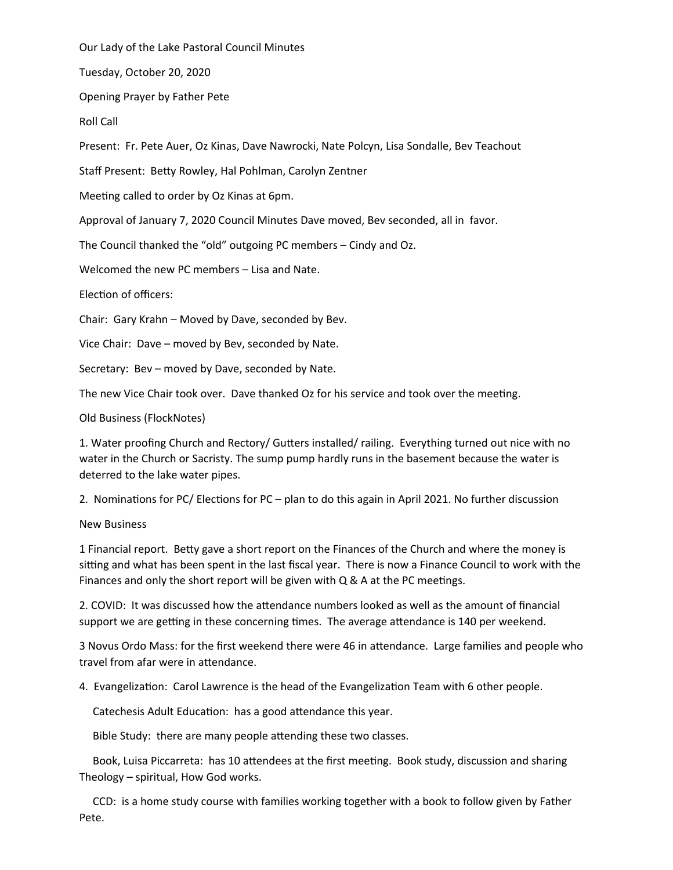Our Lady of the Lake Pastoral Council Minutes

Tuesday, October 20, 2020

Opening Prayer by Father Pete

Roll Call

Present: Fr. Pete Auer, Oz Kinas, Dave Nawrocki, Nate Polcyn, Lisa Sondalle, Bev Teachout

Staff Present: Betty Rowley, Hal Pohlman, Carolyn Zentner

Meeting called to order by Oz Kinas at 6pm.

Approval of January 7, 2020 Council Minutes Dave moved, Bev seconded, all in favor.

The Council thanked the "old" outgoing PC members – Cindy and Oz.

Welcomed the new PC members – Lisa and Nate.

Election of officers:

Chair: Gary Krahn – Moved by Dave, seconded by Bev.

Vice Chair: Dave – moved by Bev, seconded by Nate.

Secretary: Bev – moved by Dave, seconded by Nate.

The new Vice Chair took over. Dave thanked Oz for his service and took over the meeting.

Old Business (FlockNotes)

1. Water proofing Church and Rectory/ Gutters installed/ railing. Everything turned out nice with no water in the Church or Sacristy. The sump pump hardly runs in the basement because the water is deterred to the lake water pipes.

2. Nominations for PC/ Elections for PC – plan to do this again in April 2021. No further discussion

## New Business

1 Financial report. Betty gave a short report on the Finances of the Church and where the money is sitting and what has been spent in the last fiscal year. There is now a Finance Council to work with the Finances and only the short report will be given with Q & A at the PC meetings.

2. COVID: It was discussed how the attendance numbers looked as well as the amount of financial support we are getting in these concerning times. The average attendance is 140 per weekend.

3 Novus Ordo Mass: for the first weekend there were 46 in attendance. Large families and people who travel from afar were in attendance.

4. Evangelization: Carol Lawrence is the head of the Evangelization Team with 6 other people.

Catechesis Adult Education: has a good attendance this year.

Bible Study: there are many people attending these two classes.

 Book, Luisa Piccarreta: has 10 attendees at the first meeting. Book study, discussion and sharing Theology – spiritual, How God works.

 CCD: is a home study course with families working together with a book to follow given by Father Pete.